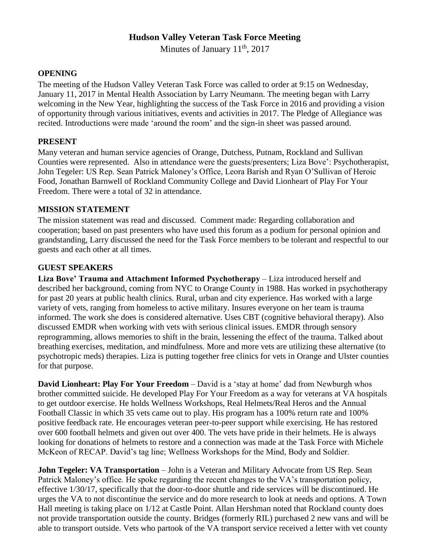# **Hudson Valley Veteran Task Force Meeting**

Minutes of January 11<sup>th</sup>, 2017

#### **OPENING**

The meeting of the Hudson Valley Veteran Task Force was called to order at 9:15 on Wednesday, January 11, 2017 in Mental Health Association by Larry Neumann. The meeting began with Larry welcoming in the New Year, highlighting the success of the Task Force in 2016 and providing a vision of opportunity through various initiatives, events and activities in 2017. The Pledge of Allegiance was recited. Introductions were made 'around the room' and the sign-in sheet was passed around.

## **PRESENT**

Many veteran and human service agencies of Orange, Dutchess, Putnam, Rockland and Sullivan Counties were represented. Also in attendance were the guests/presenters; Liza Bove': Psychotherapist, John Tegeler: US Rep. Sean Patrick Maloney's Office, Leora Barish and Ryan O'Sullivan of Heroic Food, Jonathan Barnwell of Rockland Community College and David Lionheart of Play For Your Freedom. There were a total of 32 in attendance.

#### **MISSION STATEMENT**

The mission statement was read and discussed. Comment made: Regarding collaboration and cooperation; based on past presenters who have used this forum as a podium for personal opinion and grandstanding, Larry discussed the need for the Task Force members to be tolerant and respectful to our guests and each other at all times.

#### **GUEST SPEAKERS**

**Liza Bove' Trauma and Attachment Informed Psychotherapy** – Liza introduced herself and described her background, coming from NYC to Orange County in 1988. Has worked in psychotherapy for past 20 years at public health clinics. Rural, urban and city experience. Has worked with a large variety of vets, ranging from homeless to active military. Insures everyone on her team is trauma informed. The work she does is considered alternative. Uses CBT (cognitive behavioral therapy). Also discussed EMDR when working with vets with serious clinical issues. EMDR through sensory reprogramming, allows memories to shift in the brain, lessening the effect of the trauma. Talked about breathing exercises, meditation, and mindfulness. More and more vets are utilizing these alternative (to psychotropic meds) therapies. Liza is putting together free clinics for vets in Orange and Ulster counties for that purpose.

**David Lionheart: Play For Your Freedom** – David is a 'stay at home' dad from Newburgh whos brother committed suicide. He developed Play For Your Freedom as a way for veterans at VA hospitals to get outdoor exercise. He holds Wellness Workshops, Real Helmets/Real Heros and the Annual Football Classic in which 35 vets came out to play. His program has a 100% return rate and 100% positive feedback rate. He encourages veteran peer-to-peer support while exercising. He has restored over 600 football helmets and given out over 400. The vets have pride in their helmets. He is always looking for donations of helmets to restore and a connection was made at the Task Force with Michele McKeon of RECAP. David's tag line; Wellness Workshops for the Mind, Body and Soldier.

**John Tegeler: VA Transportation** – John is a Veteran and Military Advocate from US Rep. Sean Patrick Maloney's office. He spoke regarding the recent changes to the VA's transportation policy, effective 1/30/17, specifically that the door-to-door shuttle and ride services will be discontinued. He urges the VA to not discontinue the service and do more research to look at needs and options. A Town Hall meeting is taking place on 1/12 at Castle Point. Allan Hershman noted that Rockland county does not provide transportation outside the county. Bridges (formerly RIL) purchased 2 new vans and will be able to transport outside. Vets who partook of the VA transport service received a letter with vet county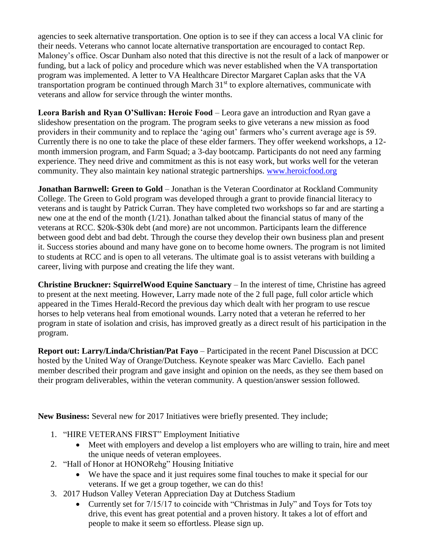agencies to seek alternative transportation. One option is to see if they can access a local VA clinic for their needs. Veterans who cannot locate alternative transportation are encouraged to contact Rep. Maloney's office. Oscar Dunham also noted that this directive is not the result of a lack of manpower or funding, but a lack of policy and procedure which was never established when the VA transportation program was implemented. A letter to VA Healthcare Director Margaret Caplan asks that the VA transportation program be continued through March  $31<sup>st</sup>$  to explore alternatives, communicate with veterans and allow for service through the winter months.

**Leora Barish and Ryan O'Sullivan: Heroic Food** – Leora gave an introduction and Ryan gave a slideshow presentation on the program. The program seeks to give veterans a new mission as food providers in their community and to replace the 'aging out' farmers who's current average age is 59. Currently there is no one to take the place of these elder farmers. They offer weekend workshops, a 12 month immersion program, and Farm Squad; a 3-day bootcamp. Participants do not need any farming experience. They need drive and commitment as this is not easy work, but works well for the veteran community. They also maintain key national strategic partnerships. [www.heroicfood.org](http://www.heroicfood.org/)

**Jonathan Barnwell: Green to Gold** – Jonathan is the Veteran Coordinator at Rockland Community College. The Green to Gold program was developed through a grant to provide financial literacy to veterans and is taught by Patrick Curran. They have completed two workshops so far and are starting a new one at the end of the month (1/21). Jonathan talked about the financial status of many of the veterans at RCC. \$20k-\$30k debt (and more) are not uncommon. Participants learn the difference between good debt and bad debt. Through the course they develop their own business plan and present it. Success stories abound and many have gone on to become home owners. The program is not limited to students at RCC and is open to all veterans. The ultimate goal is to assist veterans with building a career, living with purpose and creating the life they want.

**Christine Bruckner: SquirrelWood Equine Sanctuary – In the interest of time, Christine has agreed** to present at the next meeting. However, Larry made note of the 2 full page, full color article which appeared in the Times Herald-Record the previous day which dealt with her program to use rescue horses to help veterans heal from emotional wounds. Larry noted that a veteran he referred to her program in state of isolation and crisis, has improved greatly as a direct result of his participation in the program.

**Report out: Larry/Linda/Christian/Pat Fayo** – Participated in the recent Panel Discussion at DCC hosted by the United Way of Orange/Dutchess. Keynote speaker was Marc Caviello. Each panel member described their program and gave insight and opinion on the needs, as they see them based on their program deliverables, within the veteran community. A question/answer session followed.

**New Business:** Several new for 2017 Initiatives were briefly presented. They include;

- 1. "HIRE VETERANS FIRST" Employment Initiative
	- Meet with employers and develop a list employers who are willing to train, hire and meet the unique needs of veteran employees.
- 2. "Hall of Honor at HONORehg" Housing Initiative
	- We have the space and it just requires some final touches to make it special for our veterans. If we get a group together, we can do this!
- 3. 2017 Hudson Valley Veteran Appreciation Day at Dutchess Stadium
	- Currently set for 7/15/17 to coincide with "Christmas in July" and Toys for Tots toy drive, this event has great potential and a proven history. It takes a lot of effort and people to make it seem so effortless. Please sign up.